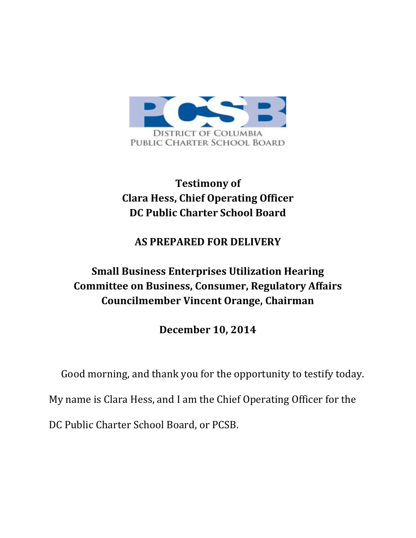

## **Testimony of Clara Hess, Chief Operating Officer DC Public Charter School Board**

## **AS PREPARED FOR DELIVERY**

## **Small Business Enterprises Utilization Hearing Committee on Business, Consumer, Regulatory Affairs Councilmember Vincent Orange, Chairman**

**December 10, 2014**

Good morning, and thank you for the opportunity to testify today.

My name is Clara Hess, and I am the Chief Operating Officer for the

DC Public Charter School Board, or PCSB.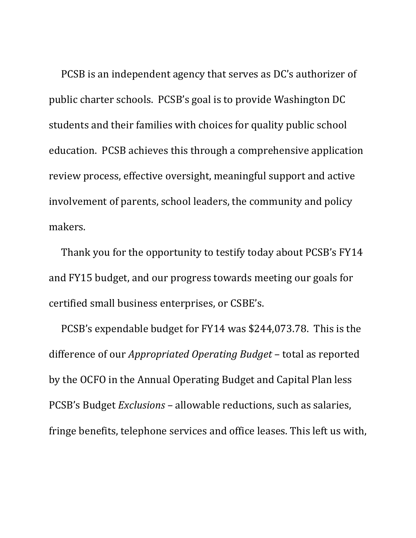PCSB is an independent agency that serves as DC's authorizer of public charter schools. PCSB's goal is to provide Washington DC students and their families with choices for quality public school education. PCSB achieves this through a comprehensive application review process, effective oversight, meaningful support and active involvement of parents, school leaders, the community and policy makers.

Thank you for the opportunity to testify today about PCSB's FY14 and FY15 budget, and our progress towards meeting our goals for certified small business enterprises, or CSBE's.

PCSB's expendable budget for FY14 was \$244,073.78. This is the difference of our *Appropriated Operating Budget* – total as reported by the OCFO in the Annual Operating Budget and Capital Plan less PCSB's Budget *Exclusions* – allowable reductions, such as salaries, fringe benefits, telephone services and office leases. This left us with,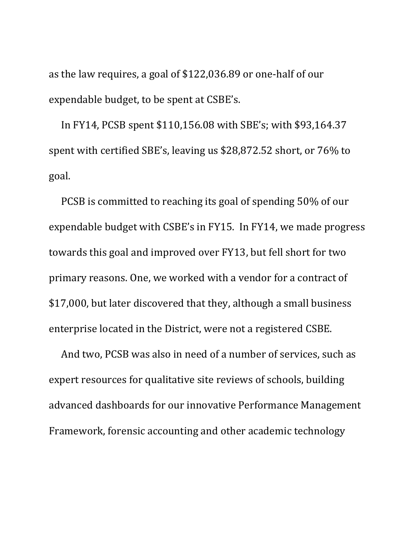as the law requires, a goal of \$122,036.89 or one-half of our expendable budget, to be spent at CSBE's.

In FY14, PCSB spent \$110,156.08 with SBE's; with \$93,164.37 spent with certified SBE's, leaving us \$28,872.52 short, or 76% to goal.

PCSB is committed to reaching its goal of spending 50% of our expendable budget with CSBE's in FY15. In FY14, we made progress towards this goal and improved over FY13, but fell short for two primary reasons. One, we worked with a vendor for a contract of \$17,000, but later discovered that they, although a small business enterprise located in the District, were not a registered CSBE.

And two, PCSB was also in need of a number of services, such as expert resources for qualitative site reviews of schools, building advanced dashboards for our innovative Performance Management Framework, forensic accounting and other academic technology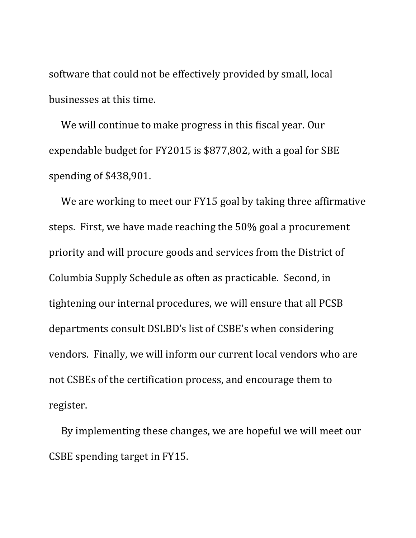software that could not be effectively provided by small, local businesses at this time.

We will continue to make progress in this fiscal year. Our expendable budget for FY2015 is \$877,802, with a goal for SBE spending of \$438,901.

We are working to meet our FY15 goal by taking three affirmative steps. First, we have made reaching the 50% goal a procurement priority and will procure goods and services from the District of Columbia Supply Schedule as often as practicable. Second, in tightening our internal procedures, we will ensure that all PCSB departments consult DSLBD's list of CSBE's when considering vendors. Finally, we will inform our current local vendors who are not CSBEs of the certification process, and encourage them to register.

By implementing these changes, we are hopeful we will meet our CSBE spending target in FY15.